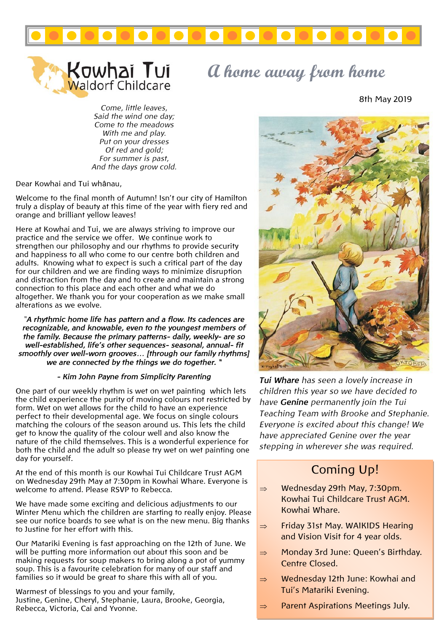



*Come, little leaves, Said the wind one day; Come to the meadows With me and play. Put on your dresses Of red and gold; For summer is past, And the days grow cold.*

Dear Kowhai and Tui whânau,

Welcome to the final month of Autumn! Isn't our city of Hamilton truly a display of beauty at this time of the year with fiery red and orange and brilliant yellow leaves!

Here at Kowhai and Tui, we are always striving to improve our practice and the service we offer. We continue work to strengthen our philosophy and our rhythms to provide security and happiness to all who come to our centre both children and adults. Knowing what to expect is such a critical part of the day for our children and we are finding ways to minimize disruption and distraction from the day and to create and maintain a strong connection to this place and each other and what we do altogether. We thank you for your cooperation as we make small alterations as we evolve.

*"A rhythmic home life has pattern and a flow. Its cadences are recognizable, and knowable, even to the youngest members of the family. Because the primary patterns- daily, weekly- are so well-established, life's other sequences- seasonal, annual- fit smoothly over well-worn grooves… [through our family rhythms] we are connected by the things we do together. "*

#### *- Kim John Payne from Simplicity Parenting*

One part of our weekly rhythm is wet on wet painting which lets the child experience the purity of moving colours not restricted by form. Wet on wet allows for the child to have an experience perfect to their developmental age. We focus on single colours matching the colours of the season around us. This lets the child get to know the quality of the colour well and also know the nature of the child themselves. This is a wonderful experience for both the child and the adult so please try wet on wet painting one day for yourself.

At the end of this month is our Kowhai Tui Childcare Trust AGM on Wednesday 29th May at 7:30pm in Kowhai Whare. Everyone is welcome to attend. Please RSVP to Rebecca.

We have made some exciting and delicious adjustments to our Winter Menu which the children are starting to really enjoy. Please see our notice boards to see what is on the new menu. Big thanks to Justine for her effort with this.

Our Matariki Evening is fast approaching on the 12th of June. We will be putting more information out about this soon and be making requests for soup makers to bring along a pot of yummy soup. This is a favourite celebration for many of our staff and families so it would be great to share this with all of you.

Warmest of blessings to you and your family, Justine, Genine, Cheryl, Stephanie, Laura, Brooke, Georgia, Rebecca, Victoria, Cai and Yvonne.

# **A home away from home**

8th May 2019



*Tui Whare has seen a lovely increase in children this year so we have decided to have Genine permanently join the Tui Teaching Team with Brooke and Stephanie. Everyone is excited about this change! We have appreciated Genine over the year stepping in wherever she was required.*

### Coming Up!

- $\Rightarrow$  Wednesday 29th May, 7:30pm. Kowhai Tui Childcare Trust AGM. Kowhai Whare.
- $\Rightarrow$  Friday 31st May. WAIKIDS Hearing and Vision Visit for 4 year olds.
- $\Rightarrow$  Monday 3rd June: Queen's Birthday. Centre Closed.
- $\Rightarrow$  Wednesday 12th June: Kowhai and Tui's Matariki Evening.
- $\Rightarrow$  Parent Aspirations Meetings July.